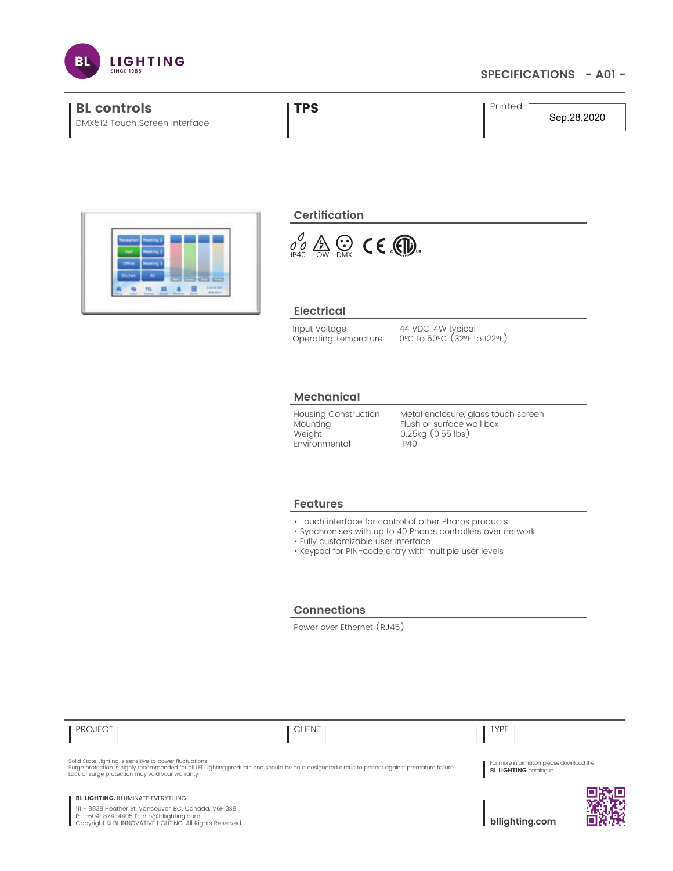

## **SPECIFICATIONS - A01 -**



Solid State Lighting is sensitive to power fluctuations<br>Surge protection is highly recommended for all LED lighting products and should be on a designated circuit to protect against premature failure<br>Lack of surge protecti

**BL LIGHTING. ILLUMINATE EVERYTHING** 

111 - 8838 Heather St. Vancouver, BC. Canada. V6P 3S8 P: 1-604-874-4405 E: info@bllighting.com Copyright © BL INNOVATIVE LIGHTING. All Rights Reserved.

**bllighting.com**

For more information, please download the **BL LIGHTING** catalogue